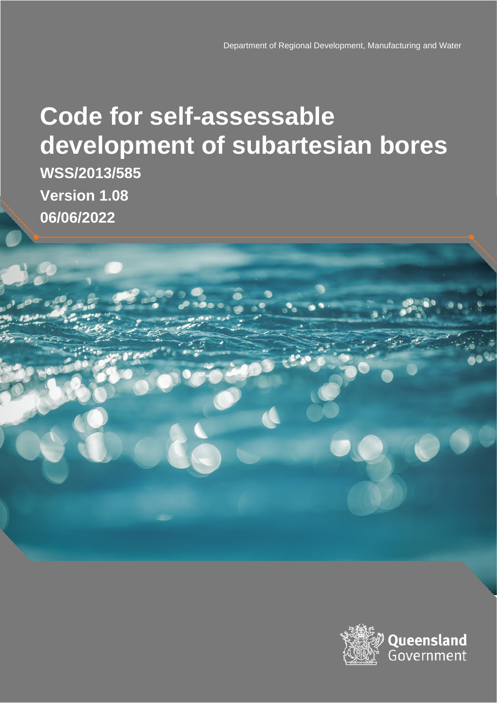# **Code for self-assessable development of subartesian bores**

**WSS/2013/585 Version 1.08 06/06/2022**

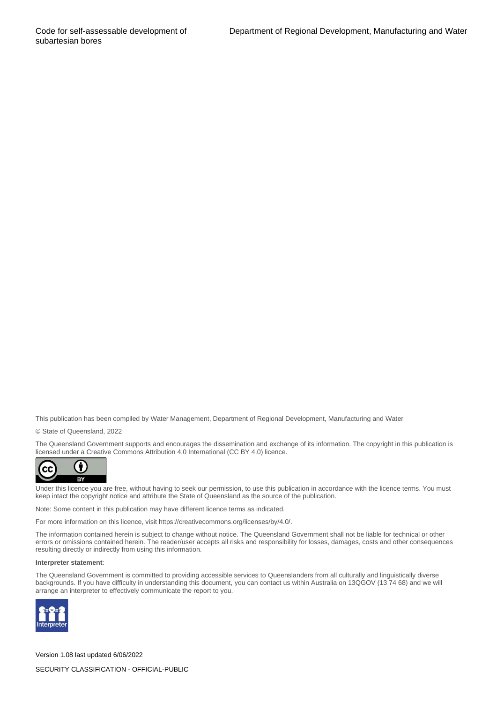This publication has been compiled by Water Management, Department of Regional Development, Manufacturing and Water

© State of Queensland, 2022

The Queensland Government supports and encourages the dissemination and exchange of its information. The copyright in this publication is licensed under a Creative Commons Attribution 4.0 International (CC BY 4.0) licence.



Under this licence you are free, without having to seek our permission, to use this publication in accordance with the licence terms. You must keep intact the copyright notice and attribute the State of Queensland as the source of the publication.

Note: Some content in this publication may have different licence terms as indicated.

For more information on this licence, visit https://creativecommons.org/licenses/by/4.0/.

The information contained herein is subject to change without notice. The Queensland Government shall not be liable for technical or other errors or omissions contained herein. The reader/user accepts all risks and responsibility for losses, damages, costs and other consequences resulting directly or indirectly from using this information.

#### **Interpreter statement**:

The Queensland Government is committed to providing accessible services to Queenslanders from all culturally and linguistically diverse backgrounds. If you have difficulty in understanding this document, you can contact us within Australia on 13QGOV (13 74 68) and we will arrange an interpreter to effectively communicate the report to you.



Version 1.08 last updated 6/06/2022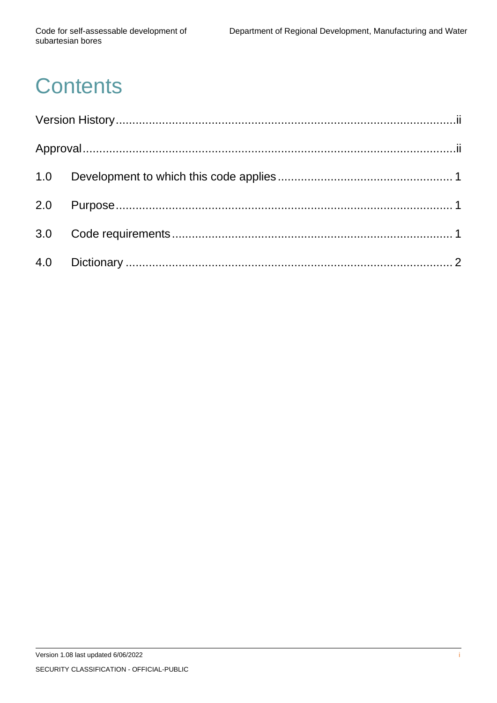# **Contents**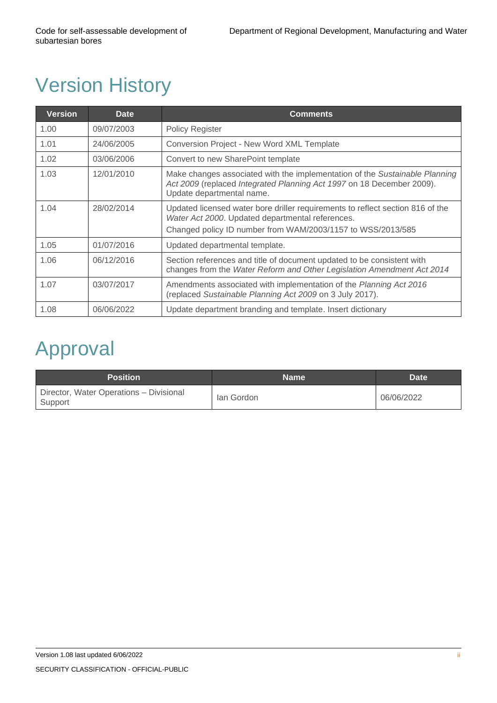## <span id="page-3-0"></span>Version History

| <b>Version</b> | <b>Date</b> | <b>Comments</b>                                                                                                                                                                                   |
|----------------|-------------|---------------------------------------------------------------------------------------------------------------------------------------------------------------------------------------------------|
| 1.00           | 09/07/2003  | <b>Policy Register</b>                                                                                                                                                                            |
| 1.01           | 24/06/2005  | Conversion Project - New Word XML Template                                                                                                                                                        |
| 1.02           | 03/06/2006  | Convert to new SharePoint template                                                                                                                                                                |
| 1.03           | 12/01/2010  | Make changes associated with the implementation of the Sustainable Planning<br>Act 2009 (replaced Integrated Planning Act 1997 on 18 December 2009).<br>Update departmental name.                 |
| 1.04           | 28/02/2014  | Updated licensed water bore driller requirements to reflect section 816 of the<br>Water Act 2000. Updated departmental references.<br>Changed policy ID number from WAM/2003/1157 to WSS/2013/585 |
| 1.05           | 01/07/2016  | Updated departmental template.                                                                                                                                                                    |
| 1.06           | 06/12/2016  | Section references and title of document updated to be consistent with<br>changes from the Water Reform and Other Legislation Amendment Act 2014                                                  |
| 1.07           | 03/07/2017  | Amendments associated with implementation of the Planning Act 2016<br>(replaced Sustainable Planning Act 2009 on 3 July 2017).                                                                    |
| 1.08           | 06/06/2022  | Update department branding and template. Insert dictionary                                                                                                                                        |

### <span id="page-3-1"></span>Approval

| <b>Position</b>                                    | <b>Name</b> | <b>Date</b> |
|----------------------------------------------------|-------------|-------------|
| Director, Water Operations - Divisional<br>Support | lan Gordon  | 06/06/2022  |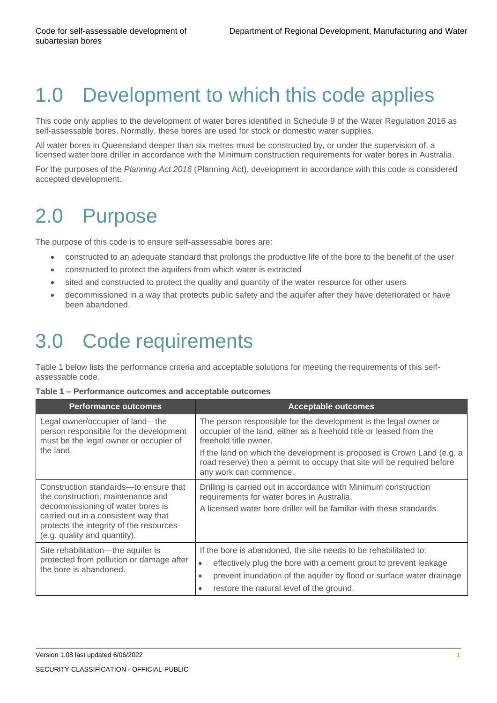#### <span id="page-4-0"></span>1.0 Development to which this code applies

This code only applies to the development of water bores identified in Schedule 9 of the Water Regulation 2016 as self-assessable bores. Normally, these bores are used for stock or domestic water supplies.

All water bores in Queensland deeper than six metres must be constructed by, or under the supervision of, a licensed water bore driller in accordance with the Minimum construction requirements for water bores in Australia.

For the purposes of the *Planning Act 2016* (Planning Act), development in accordance with this code is considered accepted development.

### <span id="page-4-1"></span>2.0 Purpose

The purpose of this code is to ensure self-assessable bores are:

- constructed to an adequate standard that prolongs the productive life of the bore to the benefit of the user
- constructed to protect the aquifers from which water is extracted
- sited and constructed to protect the quality and quantity of the water resource for other users
- decommissioned in a way that protects public safety and the aquifer after they have deteriorated or have been abandoned.

#### <span id="page-4-2"></span>3.0 Code requirements

Table 1 below lists the performance criteria and acceptable solutions for meeting the requirements of this selfassessable code.

|  |  | Table 1 – Performance outcomes and acceptable outcomes |  |  |  |  |
|--|--|--------------------------------------------------------|--|--|--|--|
|--|--|--------------------------------------------------------|--|--|--|--|

| <b>Performance outcomes</b>                                                                                                                                                                                                        | <b>Acceptable outcomes</b>                                                                                                                                                                                                                                                                      |
|------------------------------------------------------------------------------------------------------------------------------------------------------------------------------------------------------------------------------------|-------------------------------------------------------------------------------------------------------------------------------------------------------------------------------------------------------------------------------------------------------------------------------------------------|
| Legal owner/occupier of land-the<br>person responsible for the development<br>must be the legal owner or occupier of                                                                                                               | The person responsible for the development is the legal owner or<br>occupier of the land, either as a freehold title or leased from the<br>freehold title owner.                                                                                                                                |
| the land.                                                                                                                                                                                                                          | If the land on which the development is proposed is Crown Land (e.g. a<br>road reserve) then a permit to occupy that site will be required before<br>any work can commence.                                                                                                                     |
| Construction standards—to ensure that<br>the construction, maintenance and<br>decommissioning of water bores is<br>carried out in a consistent way that<br>protects the integrity of the resources<br>(e.g. quality and quantity). | Drilling is carried out in accordance with Minimum construction<br>requirements for water bores in Australia.<br>A licensed water bore driller will be familiar with these standards.                                                                                                           |
| Site rehabilitation—the aquifer is<br>protected from pollution or damage after<br>the bore is abandoned.                                                                                                                           | If the bore is abandoned, the site needs to be rehabilitated to:<br>effectively plug the bore with a cement grout to prevent leakage<br>$\bullet$<br>prevent inundation of the aquifer by flood or surface water drainage<br>$\bullet$<br>restore the natural level of the ground.<br>$\bullet$ |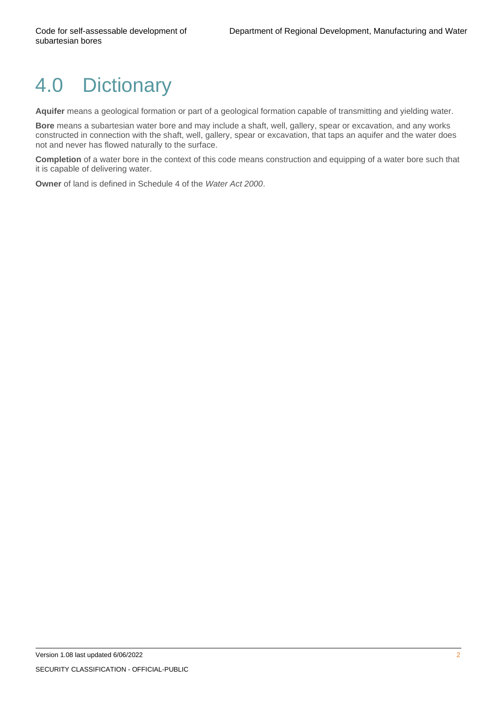#### <span id="page-5-0"></span>4.0 Dictionary

**Aquifer** means a geological formation or part of a geological formation capable of transmitting and yielding water.

**Bore** means a subartesian water bore and may include a shaft, well, gallery, spear or excavation, and any works constructed in connection with the shaft, well, gallery, spear or excavation, that taps an aquifer and the water does not and never has flowed naturally to the surface.

**Completion** of a water bore in the context of this code means construction and equipping of a water bore such that it is capable of delivering water.

**Owner** of land is defined in Schedule 4 of the *Water Act 2000*.